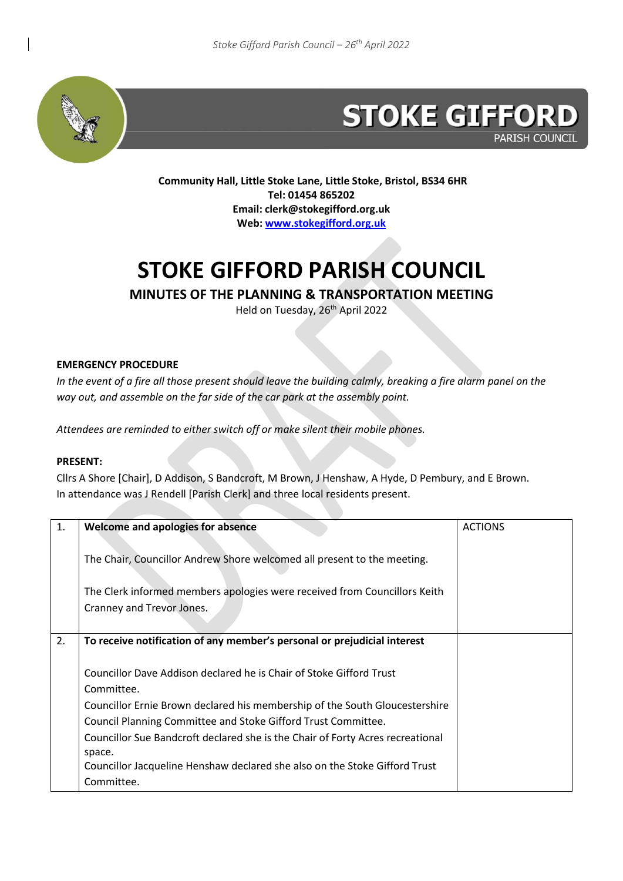

# **STOKE GIFFORD PARISH COUNCIL**

**Community Hall, Little Stoke Lane, Little Stoke, Bristol, BS34 6HR Tel: 01454 865202 Email: clerk@stokegifford.org.uk Web[: www.stokegifford.org.uk](http://www.stokegifford.org.uk/)**

# **STOKE GIFFORD PARISH COUNCIL**

#### **MINUTES OF THE PLANNING & TRANSPORTATION MEETING**

Held on Tuesday, 26<sup>th</sup> April 2022

#### **EMERGENCY PROCEDURE**

*In the event of a fire all those present should leave the building calmly, breaking a fire alarm panel on the way out, and assemble on the far side of the car park at the assembly point.*

*Attendees are reminded to either switch off or make silent their mobile phones.*

#### **PRESENT:**

Cllrs A Shore [Chair], D Addison, S Bandcroft, M Brown, J Henshaw, A Hyde, D Pembury, and E Brown. In attendance was J Rendell [Parish Clerk] and three local residents present.

| 1. | Welcome and apologies for absence                                              | <b>ACTIONS</b> |
|----|--------------------------------------------------------------------------------|----------------|
|    |                                                                                |                |
|    | The Chair, Councillor Andrew Shore welcomed all present to the meeting.        |                |
|    | The Clerk informed members apologies were received from Councillors Keith      |                |
|    | Cranney and Trevor Jones.                                                      |                |
|    |                                                                                |                |
|    |                                                                                |                |
| 2. | To receive notification of any member's personal or prejudicial interest       |                |
|    |                                                                                |                |
|    | Councillor Dave Addison declared he is Chair of Stoke Gifford Trust            |                |
|    | Committee.                                                                     |                |
|    | Councillor Ernie Brown declared his membership of the South Gloucestershire    |                |
|    | Council Planning Committee and Stoke Gifford Trust Committee.                  |                |
|    | Councillor Sue Bandcroft declared she is the Chair of Forty Acres recreational |                |
|    | space.                                                                         |                |
|    | Councillor Jacqueline Henshaw declared she also on the Stoke Gifford Trust     |                |
|    | Committee.                                                                     |                |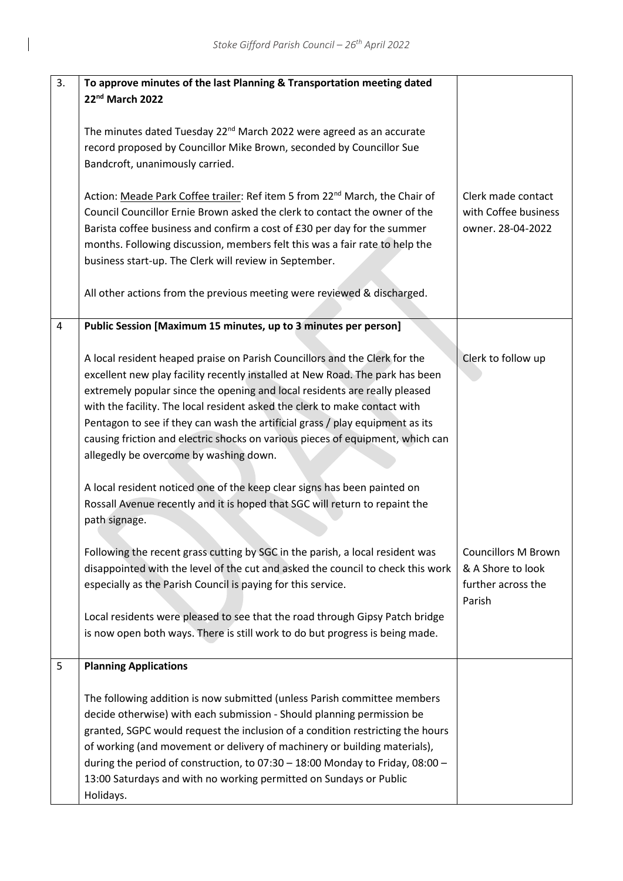$\mathsf{l}$ 

| 3. | To approve minutes of the last Planning & Transportation meeting dated                  |                            |
|----|-----------------------------------------------------------------------------------------|----------------------------|
|    | 22nd March 2022                                                                         |                            |
|    |                                                                                         |                            |
|    | The minutes dated Tuesday 22 <sup>nd</sup> March 2022 were agreed as an accurate        |                            |
|    |                                                                                         |                            |
|    | record proposed by Councillor Mike Brown, seconded by Councillor Sue                    |                            |
|    | Bandcroft, unanimously carried.                                                         |                            |
|    |                                                                                         |                            |
|    | Action: Meade Park Coffee trailer: Ref item 5 from 22 <sup>nd</sup> March, the Chair of | Clerk made contact         |
|    | Council Councillor Ernie Brown asked the clerk to contact the owner of the              | with Coffee business       |
|    |                                                                                         |                            |
|    | Barista coffee business and confirm a cost of £30 per day for the summer                | owner. 28-04-2022          |
|    | months. Following discussion, members felt this was a fair rate to help the             |                            |
|    | business start-up. The Clerk will review in September.                                  |                            |
|    |                                                                                         |                            |
|    | All other actions from the previous meeting were reviewed & discharged.                 |                            |
|    |                                                                                         |                            |
|    |                                                                                         |                            |
| 4  | Public Session [Maximum 15 minutes, up to 3 minutes per person]                         |                            |
|    |                                                                                         |                            |
|    | A local resident heaped praise on Parish Councillors and the Clerk for the              | Clerk to follow up         |
|    | excellent new play facility recently installed at New Road. The park has been           |                            |
|    |                                                                                         |                            |
|    | extremely popular since the opening and local residents are really pleased              |                            |
|    | with the facility. The local resident asked the clerk to make contact with              |                            |
|    | Pentagon to see if they can wash the artificial grass / play equipment as its           |                            |
|    | causing friction and electric shocks on various pieces of equipment, which can          |                            |
|    |                                                                                         |                            |
|    | allegedly be overcome by washing down.                                                  |                            |
|    |                                                                                         |                            |
|    | A local resident noticed one of the keep clear signs has been painted on                |                            |
|    | Rossall Avenue recently and it is hoped that SGC will return to repaint the             |                            |
|    | path signage.                                                                           |                            |
|    |                                                                                         |                            |
|    |                                                                                         |                            |
|    | Following the recent grass cutting by SGC in the parish, a local resident was           | <b>Councillors M Brown</b> |
|    | disappointed with the level of the cut and asked the council to check this work         | & A Shore to look          |
|    | especially as the Parish Council is paying for this service.                            | further across the         |
|    |                                                                                         | Parish                     |
|    | Local residents were pleased to see that the road through Gipsy Patch bridge            |                            |
|    |                                                                                         |                            |
|    | is now open both ways. There is still work to do but progress is being made.            |                            |
|    |                                                                                         |                            |
| 5  | <b>Planning Applications</b>                                                            |                            |
|    |                                                                                         |                            |
|    | The following addition is now submitted (unless Parish committee members                |                            |
|    |                                                                                         |                            |
|    | decide otherwise) with each submission - Should planning permission be                  |                            |
|    | granted, SGPC would request the inclusion of a condition restricting the hours          |                            |
|    | of working (and movement or delivery of machinery or building materials),               |                            |
|    | during the period of construction, to 07:30 - 18:00 Monday to Friday, 08:00 -           |                            |
|    | 13:00 Saturdays and with no working permitted on Sundays or Public                      |                            |
|    |                                                                                         |                            |
|    | Holidays.                                                                               |                            |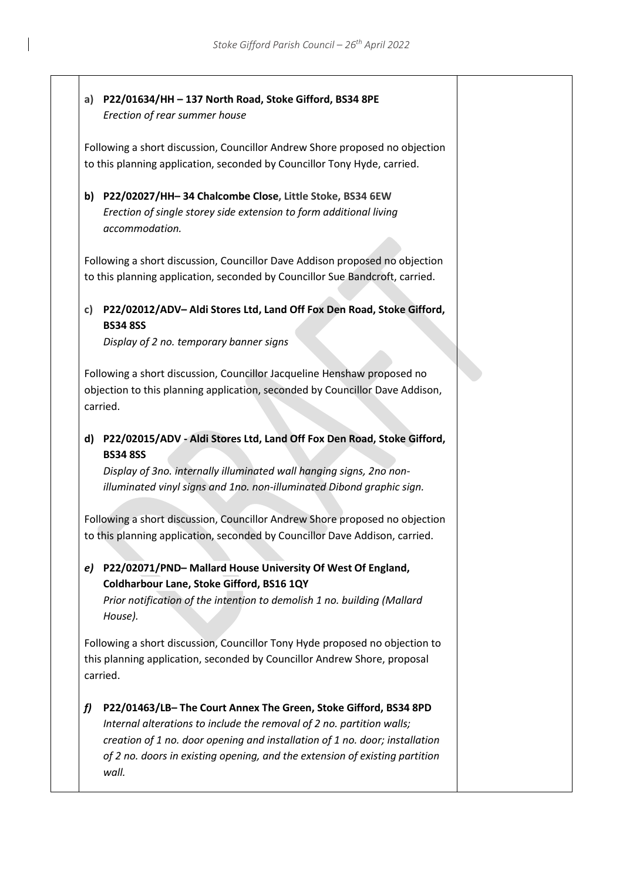#### **a) P22/01634/HH – 137 North Road, Stoke Gifford, BS34 8PE** *Erectio[n of rear](https://developments.southglos.gov.uk/online-applications/applicationDetails.do?activeTab=summary&keyVal=R6MOIKOKJZI00&prevPage=inTray) summer house*

Following a short discussion, Councillor Andrew Shore proposed no objection to this planning application, seconded by Councillor Tony Hyde, carried.

**b) P22/02027/HH– 34 Chalcombe Close, Little Stoke, BS34 6EW** *Erectio[n of single storey side](https://developments.southglos.gov.uk/online-applications/applicationDetails.do?activeTab=summary&keyVal=R86CRFOKL8Y00&prevPage=inTray) extension to form additional living [accommodation.](https://developments.southglos.gov.uk/online-applications/applicationDetails.do?activeTab=summary&keyVal=R86CRFOKL8Y00&prevPage=inTray)*

Following a short discussion, Councillor Dave Addison proposed no objection to this planning application, seconded by Councillor Sue Bandcroft, carried.

### **c) P22/02012/ADV– Aldi Stores Ltd, Land Off Fox Den Road, Stoke Gifford, BS34 8SS**

*Display of 2 no. temporary banner signs*

Following a short discussion, Councillor Jacqueline Henshaw proposed no objection to this planning application, seconded by Councillor Dave Addison, carried.

#### **d) P22/02015/ADV - Aldi Stores Ltd, Land Off Fox Den Road, Stoke Gifford, BS34 8SS**

*Display of 3no. internally illuminated wall hanging signs, 2no nonilluminated vinyl signs and 1no. non-illuminated Dibond graphic sign.*

Following a short discussion, Councillor Andrew Shore proposed no objection to this planning application, seconded by Councillor Dave Addison, carried.

## *e)* **P22/02071/PND– Mallard House University Of West Of England, Coldharbour Lane, Stoke Gifford, BS16 1QY**

*Prior notification of the intention to demolish 1 no. building (Mallard House).* 

Following a short discussion, Councillor Tony Hyde proposed no objection to this planning application, seconded by Councillor Andrew Shore, proposal carried.

#### *f)* **P22/01463/LB– The Court Annex The Green, Stoke Gifford, BS34 8PD** *[Internal alterations to include the removal of 2](https://developments.southglos.gov.uk/online-applications/applicationDetails.do?activeTab=summary&keyVal=R8TZ79OK0H500&prevPage=inTray) no. partition walls; [creation of 1 no. door opening and installation of 1 no. door; installation](https://developments.southglos.gov.uk/online-applications/applicationDetails.do?activeTab=summary&keyVal=R8TZ79OK0H500&prevPage=inTray)  [of 2 no. doors in existing opening, and the extension of existing partition](https://developments.southglos.gov.uk/online-applications/applicationDetails.do?activeTab=summary&keyVal=R8TZ79OK0H500&prevPage=inTray)  [wall.](https://developments.southglos.gov.uk/online-applications/applicationDetails.do?activeTab=summary&keyVal=R8TZ79OK0H500&prevPage=inTray)*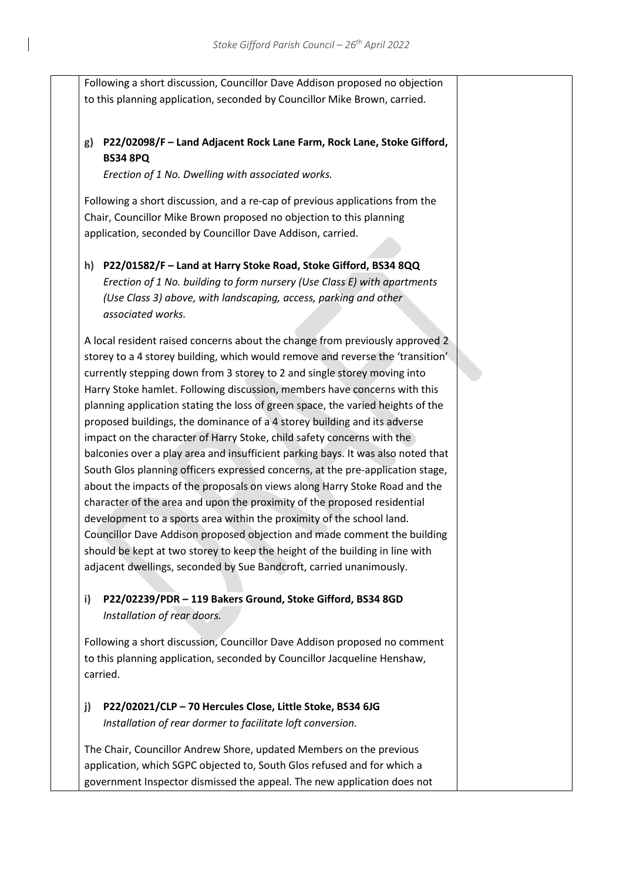Following a short discussion, Councillor Dave Addison proposed no objection to this planning application, seconded by Councillor Mike Brown, carried.

#### **g) P22/02098/F – Land Adjacent Rock Lane Farm, Rock Lane, Stoke Gifford, BS34 8PQ**

*Erection of 1 No. Dwelling with associated works.*

Following a short discussion, and a re-cap of previous applications from the Chair, Councillor Mike Brown proposed no objection to this planning application, seconded by Councillor Dave Addison, carried.

**h) P22/01582/F – Land at Harry Stoke Road, Stoke Gifford, BS34 8QQ** *Erection of 1 No. building to form nursery (Use Class E) with apartments (Use Class 3) above, with landscaping, access, parking and other associated works.*

A local resident raised concerns about the change from previously approved 2 storey to a 4 storey building, which would remove and reverse the 'transition' currently stepping down from 3 storey to 2 and single storey moving into Harry Stoke hamlet. Following discussion, members have concerns with this planning application stating the loss of green space, the varied heights of the proposed buildings, the dominance of a 4 storey building and its adverse impact on the character of Harry Stoke, child safety concerns with the balconies over a play area and insufficient parking bays. It was also noted that South Glos planning officers expressed concerns, at the pre-application stage, about the impacts of the proposals on views along Harry Stoke Road and the character of the area and upon the proximity of the proposed residential development to a sports area within the proximity of the school land. Councillor Dave Addison proposed objection and made comment the building should be kept at two storey to keep the height of the building in line with adjacent dwellings, seconded by Sue Bandcroft, carried unanimously.

#### **i) P22/02239/PDR – 119 Bakers Ground, Stoke Gifford, BS34 8GD** *Installation of rear doors.*

Following a short discussion, Councillor Dave Addison proposed no comment to this planning application, seconded by Councillor Jacqueline Henshaw, carried.

#### **j) P22/02021/CLP – 70 Hercules Close, Little Stoke, BS34 6JG** *Installation of rear dormer to facilitate loft conversion.*

The Chair, Councillor Andrew Shore, updated Members on the previous application, which SGPC objected to, South Glos refused and for which a government Inspector dismissed the appeal. The new application does not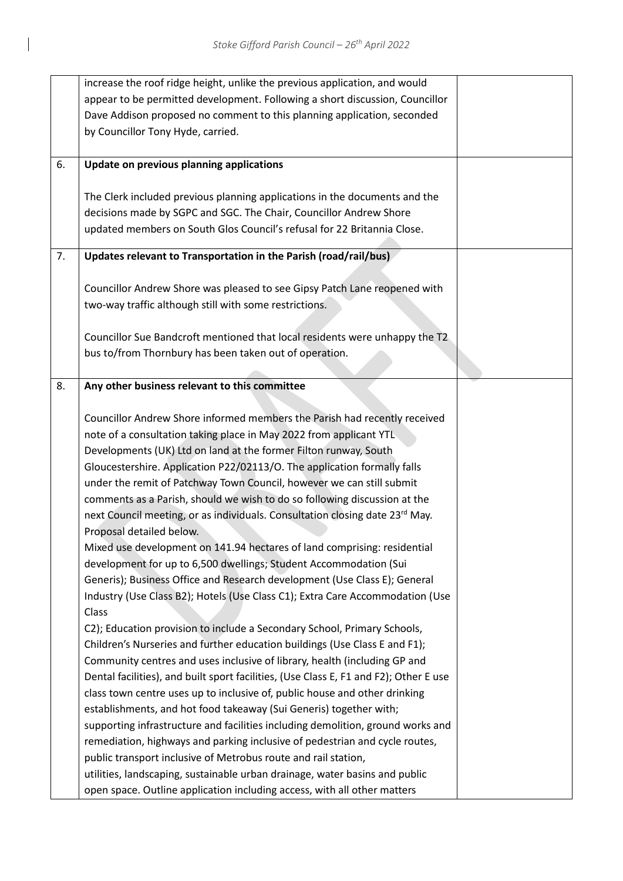|    | increase the roof ridge height, unlike the previous application, and would            |  |
|----|---------------------------------------------------------------------------------------|--|
|    | appear to be permitted development. Following a short discussion, Councillor          |  |
|    | Dave Addison proposed no comment to this planning application, seconded               |  |
|    | by Councillor Tony Hyde, carried.                                                     |  |
|    |                                                                                       |  |
| 6. | Update on previous planning applications                                              |  |
|    |                                                                                       |  |
|    | The Clerk included previous planning applications in the documents and the            |  |
|    | decisions made by SGPC and SGC. The Chair, Councillor Andrew Shore                    |  |
|    | updated members on South Glos Council's refusal for 22 Britannia Close.               |  |
|    |                                                                                       |  |
| 7. | Updates relevant to Transportation in the Parish (road/rail/bus)                      |  |
|    |                                                                                       |  |
|    | Councillor Andrew Shore was pleased to see Gipsy Patch Lane reopened with             |  |
|    | two-way traffic although still with some restrictions.                                |  |
|    |                                                                                       |  |
|    | Councillor Sue Bandcroft mentioned that local residents were unhappy the T2           |  |
|    | bus to/from Thornbury has been taken out of operation.                                |  |
|    |                                                                                       |  |
| 8. | Any other business relevant to this committee                                         |  |
|    |                                                                                       |  |
|    | Councillor Andrew Shore informed members the Parish had recently received             |  |
|    | note of a consultation taking place in May 2022 from applicant YTL                    |  |
|    | Developments (UK) Ltd on land at the former Filton runway, South                      |  |
|    | Gloucestershire. Application P22/02113/O. The application formally falls              |  |
|    | under the remit of Patchway Town Council, however we can still submit                 |  |
|    | comments as a Parish, should we wish to do so following discussion at the             |  |
|    | next Council meeting, or as individuals. Consultation closing date 23rd May.          |  |
|    | Proposal detailed below.                                                              |  |
|    | Mixed use development on 141.94 hectares of land comprising: residential              |  |
|    | development for up to 6,500 dwellings; Student Accommodation (Sui                     |  |
|    | Generis); Business Office and Research development (Use Class E); General             |  |
|    | Industry (Use Class B2); Hotels (Use Class C1); Extra Care Accommodation (Use         |  |
|    | Class                                                                                 |  |
|    | C2); Education provision to include a Secondary School, Primary Schools,              |  |
|    | Children's Nurseries and further education buildings (Use Class E and F1);            |  |
|    | Community centres and uses inclusive of library, health (including GP and             |  |
|    | Dental facilities), and built sport facilities, (Use Class E, F1 and F2); Other E use |  |
|    | class town centre uses up to inclusive of, public house and other drinking            |  |
|    | establishments, and hot food takeaway (Sui Generis) together with;                    |  |
|    | supporting infrastructure and facilities including demolition, ground works and       |  |
|    | remediation, highways and parking inclusive of pedestrian and cycle routes,           |  |
|    | public transport inclusive of Metrobus route and rail station,                        |  |
|    | utilities, landscaping, sustainable urban drainage, water basins and public           |  |
|    |                                                                                       |  |
|    | open space. Outline application including access, with all other matters              |  |